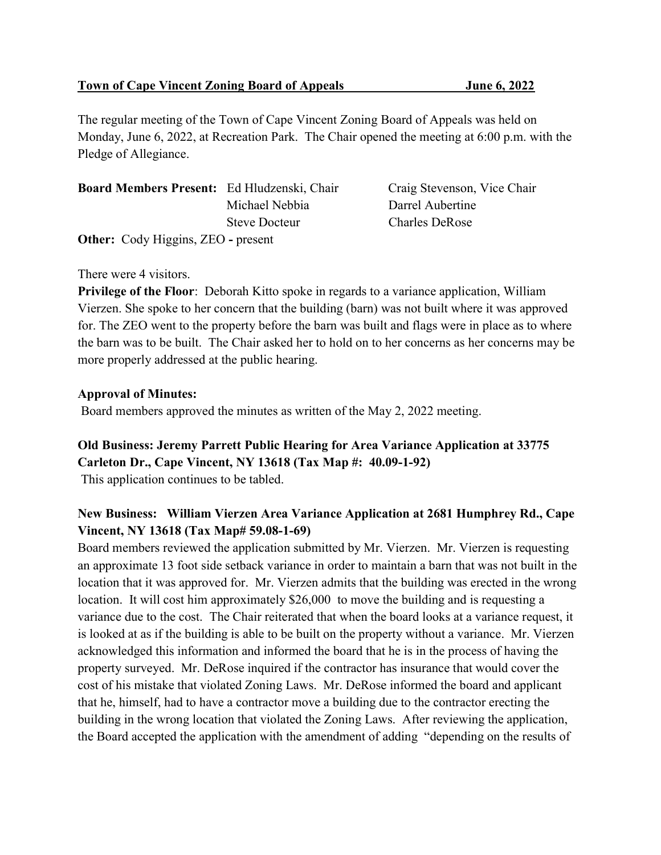The regular meeting of the Town of Cape Vincent Zoning Board of Appeals was held on Monday, June 6, 2022, at Recreation Park. The Chair opened the meeting at 6:00 p.m. with the Pledge of Allegiance.

| <b>Board Members Present:</b> Ed Hludzenski, Chair |                      | Craig Stevenson, Vice Chair |
|----------------------------------------------------|----------------------|-----------------------------|
|                                                    | Michael Nebbia       | Darrel Aubertine            |
|                                                    | <b>Steve Docteur</b> | <b>Charles DeRose</b>       |
| <b>Other:</b> Cody Higgins, ZEO - present          |                      |                             |

#### There were 4 visitors.

Privilege of the Floor: Deborah Kitto spoke in regards to a variance application, William Vierzen. She spoke to her concern that the building (barn) was not built where it was approved for. The ZEO went to the property before the barn was built and flags were in place as to where the barn was to be built. The Chair asked her to hold on to her concerns as her concerns may be more properly addressed at the public hearing.

#### Approval of Minutes:

Board members approved the minutes as written of the May 2, 2022 meeting.

#### Old Business: Jeremy Parrett Public Hearing for Area Variance Application at 33775 Carleton Dr., Cape Vincent, NY 13618 (Tax Map #: 40.09-1-92)

This application continues to be tabled.

# New Business: William Vierzen Area Variance Application at 2681 Humphrey Rd., Cape Vincent, NY 13618 (Tax Map# 59.08-1-69)

Board members reviewed the application submitted by Mr. Vierzen. Mr. Vierzen is requesting an approximate 13 foot side setback variance in order to maintain a barn that was not built in the location that it was approved for. Mr. Vierzen admits that the building was erected in the wrong location. It will cost him approximately \$26,000 to move the building and is requesting a variance due to the cost. The Chair reiterated that when the board looks at a variance request, it is looked at as if the building is able to be built on the property without a variance. Mr. Vierzen acknowledged this information and informed the board that he is in the process of having the property surveyed. Mr. DeRose inquired if the contractor has insurance that would cover the cost of his mistake that violated Zoning Laws. Mr. DeRose informed the board and applicant that he, himself, had to have a contractor move a building due to the contractor erecting the building in the wrong location that violated the Zoning Laws. After reviewing the application, the Board accepted the application with the amendment of adding "depending on the results of